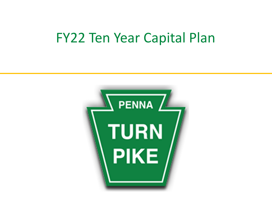# FY22 Ten Year Capital Plan

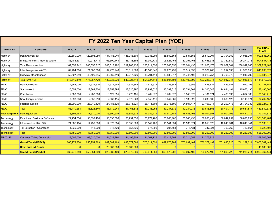|                        | FY 2022 Ten Year Capital Plan (YOE) |               |             |               |               |               |               |             |              |             |             |                                   |  |  |  |
|------------------------|-------------------------------------|---------------|-------------|---------------|---------------|---------------|---------------|-------------|--------------|-------------|-------------|-----------------------------------|--|--|--|
| Program                | Category                            | <b>FY2022</b> | FY2023      | <b>FY2024</b> | <b>FY2025</b> | <b>FY2026</b> | <b>FY2027</b> | FY2028      | FY2029       | FY2030      | FY2031      | <b>Total FINAL</b><br><b>PLAN</b> |  |  |  |
| Highw ay               | Roadw ay/Safety                     | 120,680,000   | 122,503,050 | 137,186,040   | 145,946,804   | 99,085,294    | 88,852,561    | 90,831,558  | 95,512,004   | 102,304,352 | 94,935,297  | 097,836,960                       |  |  |  |
| Highw ay               | Bridge, Tunnels & Misc Structure    | 86,485,537    | 80,918,718  | 65,590,143    | 56,133,386    | 87,350,739    | 105,621,461   | 87,297,163  | 87,456,331   | 122,762,689 | 125,271,273 | 904,887,438                       |  |  |  |
| Highw ay               | <b>Total Reconstruction</b>         | 169,552,242   | 206,656,817 | 203,613,192   | 219,908,135   | 235,814,556   | 255,266,355   | 236,004,436 | 281,026,178  | 280,969,604 | 280,917,666 | 2,369,729,183                     |  |  |  |
| Highw ay               | Interchanges (w/oAET)               | 89,484,700    | 21,588,800  | 34,473,946    | 76,119,363    | 40,585,848    | 29,225,299    | 100,312,333 | 103,321,703  | 81,212,630  | 71,906,050  | 648,230,672                       |  |  |  |
| Highw ay               | Highw ay Miscellaneous              | 52,507,640    | 40,190,345  | 48,869,710    | 42,217,726    | 38,791,111    | 39,838,917    | 34,745,408  | 35,910,757   | 36,798,070  | 51,016,292  | 420,885,977                       |  |  |  |
| Highw ay               | Total (w/o AET)                     | 518,710,119   | 471,857,729 | 489,733,030   | 540,325,414   | 501,627,548   | 518,804,594   | 549,190,899 | 603,226,974  | 624,047,344 | 624,046,579 | 5,441,570,230                     |  |  |  |
| <b>FEMO</b>            | Re-capitalization                   | 4,568,000     | 1,531,610   | 1,577,558     | 1,624,885     | 1,673,632     | 1,723,841     | 1,775,556   | 1,828,822    | 1,883,687   | 1,940,198   | 20,127,789                        |  |  |  |
| <b>FEMO</b>            | Sustainment                         | 15,659,000    | 12,864,700  | 12,253,395    | 12,620,997    | 12,999,627    | 13,389,616    | 13,791,304  | 14,205,043   | 14,631,194  | 15,070,130  | 137,485,006                       |  |  |  |
| <b>FEMO</b>            | Compliance                          | 2,500,000     | 2,987,000   | 3,129,655     | 3,278,181     | 3,489,077     | 3,709,677     | 3,940,373   | 4,181,571    | 4,433,695   | 4,697,183   | 36,346,413                        |  |  |  |
| <b>FEMO</b>            | New Energy Initiative               | 7,393,268     | 2.532.910   | 2,630,115     | 2,872,928     | 2,959,116     | 3,047,889     | 3,139,326   | 3,233,506    | 3,333,125   | 3.119.974   | 34,262,157                        |  |  |  |
| <b>FEMO</b>            | <b>Facilities Design</b>            | 25,290,000    | 23,910,420  | 24,188,520    | 26,771,821    | 26,111,804    | 25,376,509    | 24,597,477  | 27, 167, 914 | 26,209,473  | 25,704,032  | 255,327,971                       |  |  |  |
| <b>FEMO</b>            | <b>Total</b>                        | 55,410,268    | 43,826,640  | 43,779,244    | 47,168,812    | 47,233,256    | 47,247,532    | 47,244,036  | 50,616,856   | 50,491,175  | 50,531,517  | 483,549,335                       |  |  |  |
| <b>Fleet Equipment</b> | <b>Fleet Equipment</b>              | 18,896,963    | 17,510,000  | 16,390,905    | 16,882,632    | 17,389,111    | 17,910,784    | 18,448,108  | 19,001,551   | 20,901,706  | 10,411,115  | 173,742,876                       |  |  |  |
| Technology             | Functional Business Software        | 22,254,836    | 33,692,400  | 33,530,896    | 36,291,055    | 36,277,286    | 36,263,105    | 36,248,498  | 38,858,453   | 38,842,957  | 38,826,995  | 351,086,481                       |  |  |  |
| Technology             | Infrastructure HW / SW              | 24,665,164    | 14,439,600  | 14,370,384    | 15,553,309    | 15,547,408    | 15,541,331    | 15,535,071  | 16,653,623   | 16,646,981  | 16,640,141  | 165,593,012                       |  |  |  |
| Technology             | <b>Toll Collection / Operations</b> | 1,830,000     | 618,000     | 848,720       | 655,636       | 675,305       | 695,564       | 716,431     | 737,924      | 760,062     | 782,864     | 8,320,508                         |  |  |  |
| <b>Technology</b>      | <b>Total</b>                        | 48,750,000    | 48,750,000  | 48,750,000    | 52,500,000    | 52,500,000    | 52,500,000    | 52,500,000  | 56,250,000   | 56,250,000  | 56,250,000  | 525,000,000                       |  |  |  |
| EN-00115               | <b>Cashless Tolling Conversion</b>  | 19,005,000    | 69,010,000  | 51,029,290    | 41,195,808    | 81,261,736    | 63,412,292    | 33,314,059  | 21,276,818   |             | $\Omega$    | 379,505,003                       |  |  |  |
|                        | <b>Grand Total (PSEXP)</b>          | 660,772,350   | 650,954,369 | 649,682,469   | 698.072.666   | 700,011,651   | 699,875,202   | 700,697,102 | 750,372,199  | 751,690,226 | 741,239,211 | 7,003,367,444                     |  |  |  |
|                        | <b>Reimbursed Funds</b>             |               |             | 20,000,000    | 20,000,000    |               |               |             |              |             |             | 40,000,000                        |  |  |  |
|                        | <b>Grand Total (PSNET)</b>          | 660,772,350   | 650,954,369 | 629,682,469   | 678.072.666   | 700,011,651   | 699,875,202   | 700,697,102 | 750,372,199  | 751,690,226 | 741,239,211 | 6,963,367,444                     |  |  |  |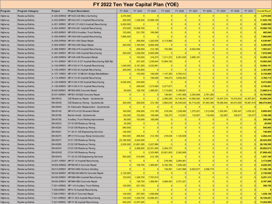### **Program Program Category Project Project Description** FY 2022 FY 2023 FY 2024 FY 2025 FY 2026 FY 2027 FY 2028 FY 2029 FY 2030 FY 2031 Overall Result Highw ay Roadw ay/Safety A-020.00R002 MP A20-A26 Micro-Surfacing 3,270,000 0 0 0 0 0 0 0 0 0 **3,270,000** Highw ay Roadw ay/Safety A-043.00R001 MP A43-A51.3 Asphalt Resurfacing 200,000 1,236,000 10,089,159 0 0 0 0 0 0 0 **11,525,159** Highw ay Roadw ay/Safety A-051.30R001 MP A51.37-A54.5 Asphalt Resurfacing 5,400,000 0 0 0 0 0 0 0 0 0 **5,400,000** Highw ay Roadw ay/Safety A-054.40R001 MP A54-A61 Asphalt Resurfacing 370,000 10,598,700 0 0 0 0 0 0 0 0 **10,968,700** Highw ay Roadw ay/Safety A-055.90R001 MP A55.9 Auxiliary Truck Parking 125,000 231,750 106,090 0 0 0 0 0 0 0 **462,840** Highw ay Roadw ay/Safety A-059.00R003 MP A59-A68 Asphalt Resurfacing 7,685,000 0 0 0 0 0 0 0 0 0 **7,685,000** Highw ay Roadw ay/Safety A-059.00R004 MP A61-A64 Slope Repair 0 206,000 1,220,035 5,113,962 0 0 0 0 0 0 **6,539,997** Highw ay Roadw ay/Safety A-064.00R001 MP A64-A68 Slope Repair 200,000 1,184,500 6,906,459 0 0 0 0 0 0 0 **8,290,959** Highw ay Roadw ay/Safety A-068.00R001 MP A68-A76 Asphalt Resurfacing 0 206,000 212,180 152,982 0 6,932,459 0 0 0 0 **7,503,621** Highw ay Roadw ay/Safety A-091.00R001 MP A91-A95 Asphalt Resurfacing 200,000 1,236,000 6,482,099 0 0 0 0 0 0 0 **7,918,099** Highw ay Roadw ay/Safety A-095.00R004 MP A95-A98 Pavement Rehab 0 103,000 318,270 1,311,272 6,381,635 3,895,161 0 0 0 0 **12,009,338** Highw ay Roadw ay/Safety A-101.00R001 MP A101-A107 Asphalt Resurfacing S&S Rpr 0 247,200 1,230,644 13,584,782 0 0 0 0 0 0 **15,062,626** Highw ay Roadw ay/Safety A-104.00R001 MP A104-A115 Asphalt Resurfacing 1,240,000 5,191,200 4,232,991 0 0 0 0 0 0 0 **10,664,191** Highw ay Roadw ay/Safety A-105.44R001 MP A105.44 Asphalt Resurfacing 200,000 2,163,000 0 0 0 0 0 0 0 0 **2,363,000** Highw ay Roadw ay/Safety A-107.10R001 MP A107.10 NB-641 Bridge Rehabilitation 0 103,000 106,090 1,147,363 4,783,412 0 0 0 0 0 **6,139,866** Highw ay Roadw ay/Safety A-114.45R001 MP A114.45 Asphalt Resurfacing 0 0 106,090 109,273 3,545,353 0 0 0 0 0 **3,760,715** Highw ay Roadw ay/Safety A-120.40R002 MP A120-A128 Asphalt Resurfacing 9,040,000 432,600 0 0 0 0 0 0 0 0 **9,472,600** Highw ay Roadw ay/Safety A-128.00R001 MP A128-A131 Asphalt Resurfacing 0 206,000 1,273,080 5,277,871 0 0 0 0 0 0 **6,756,951** Highw ay Roadw ay/Safety B-020.00R001 MP B20-B26 Concrete Repair 50,000 128,750 1,368,561 7,113,653 5,199,851 0 0 0 0 0 **13,860,814** Highw ay Roadw ay/Safety B-031.00R001 MP B31.09-B26 Concrete Repair 0 0 0 136,591 1,451,906 5,355,846 3,761,265 0 0 0 **10,705,608** Highw ay Roadw ay/Safety EN-00033 O/E Roadw ay Repair - Systemw ide 0 0 0 2,360,290 14,136,391 14,560,482 14,997,297 15,447,216 15,910,632 16,387,951 **93,800,259** Highw ay Roadw ay/Safety EN-00039 O/E Roadw ay Paving - Systemw ide 200,000 206,000 212,180 3,660,635 35,449,025 42,719,250 67,583,360 78,588,940 84,873,595 76,981,618 **390,474,604** Highw ay Roadw ay/Safety EN-00045 I/C Attenuator Replacement - Systemw ide 0 0 0 0 0 0 0 0 0 0 **0** Highw ay Roadw ay/Safety EN-00145 MP A75-A122 Pavement Rehab 160,000 206,000 212,180 218,545 1,238,060 1,275,201 1,313,458 1,352,861 1,393,447 1,435,251 **8,805,003** Highw ay Roadw ay/Safety EN-00160 Barrier Install - Systemw ide 120,000 103,000 106,090 109,273 112,551 115,927 119,405 122,987 126,677 130,477 **1,166,388** Highw ay Roadw ay/Safety EN-00192 Auxiliary Truck Parking Improvement 60,000 103,000 106,090 0 0 0 0 0 0 0 **269,090** Highw ay Roadw ay/Safety EN-00233 CY19 O/E Roadw ay Paving 20,000 0 0 0 0 0 0 0 0 0 **20,000** Highw ay Roadw ay/Safety EN-00250 CY20 O/E Roadw ay Paving 540,000 0 0 0 0 0 0 0 0 0 **540,000** Highway Roadway/Safety EN-00251 FY 20-21 O/E Engineering Services **140,000** 0 0 0 0 0 0 0 0 0 0 0 140,000 Highw ay Roadw ay/Safety EN-00274 MP A116 Access Ramp Construction 500,000 206,000 212,180 218,545 1,125,509 0 0 0 0 0 **2,262,234** Highw ay Roadw ay/Safety EN-00277 CY21 O/E Roadw ay Paving 23,180,000 3,244,500 0 0 0 0 0 0 0 0 **26,424,500** Highw ay Roadw ay/Safety EN-00282 CY22 O/E Roadw ay Paving 2,200,000 21,681,500 2,227,890 0 0 0 0 0 0 0 **26,109,390** Highw ay Roadw ay/Safety EN-00XX1 CY23 O/E Roadw ay Paving 0 2,266,000 22,331,945 2,294,727 0 0 0 0 0 0 **26,892,672** Highw ay Roadw ay/Safety EN-00XX2 CY24 O/E Roadw ay Paving 0 0 2,333,980 23,001,903 2,363,569 0 0 0 0 0 **27,699,452** Highw ay Roadw ay/Safety EN-00XX3 FY 22-23 O/E Engineering Services 500,000 515,000 212,180 0 0 0 0 0 0 0 **1,227,180** Highw ay Roadw ay/Safety G-007.10R001 MP G7.10 Asphalt Resurfacing 0 0 0 218,545 2,954,461 0 0 0 0 0 **3,173,006** Highw ay Roadw ay/Safety M-000.00R002 MP M0-M7.8 Concrete Repair 0 128,750 1,368,561 6,195,762 1,536,320 0 0 0 0 0 **9,229,393** Highw ay Roadw ay/Safety M-013.00R001 MP M13-M30 Surface Grinding 0 0 0 136,591 1,451,906 6,520,917 3,056,774 0 0 0 **11,166,188** Highw ay Roadw ay/Safety M-034.90R001 MP M34.86-M36.93 Concrete Repair 2,130,000 0 0 0 0 0 0 0 0 0 **2,130,000** Highw ay Roadw ay/Safety M-039.00R001 MP M39-M44 Asphalt Resurfacing 125,000 1,328,700 7,797,615 0 0 0 0 0 0 0 **9,251,315** Highw ay Roadw ay/Safety M-044.00R001 MP M44-M53 Concrete Repair 0 128,750 1,368,561 4,589,453 2,701,221 0 0 0 0 0 **8,787,986** Highw ay Roadw ay/Safety T-001.43R002 MP 1.43 Auxiliary Truck Parking 125,000 231,750 0 0 0 0 0 0 0 0 **356,750** Highway Roadway/Safety T-009.00R001 MP 9-19 Asphalt Resurfacing **0 0 0 0 0 0 0 0 0 0 0** 0 <mark>0 0</mark> 0 <mark>0</mark> 0 Highw ay Roadw ay/Safety T-028.47R001 MP 28.47 Concrete Repair 125,000 257,500 1,056,656 0 0 0 0 0 0 0 **1,439,156** Highw ay Roadw ay/Safety T-031.00R002 MP 31-39.6 Asphalt Resurfacing 125,000 1,328,700 15,266,351 0 0 0 0 0 0 0 **16,720,051** Highway Roadway/Safety T-047.00R002 MP 47-56 Asphalt Resurfacing **945,000 12,257,000** 0 0 0 0 0 0 0 0 0 0 0 0 0 **F O FY 2022 Ten Year Capital Plan (YOE)**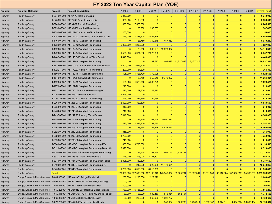### **Program Program Category Project Project Description** FY 2022 FY 2023 FY 2024 FY 2025 FY 2026 FY 2027 FY 2028 FY 2029 FY 2030 FY 2031 Overall Result Highw ay Roadw ay/Safety T-067.00R002 MP 67-75 Micro-Surfacing 6,340,000 0 0 0 0 0 0 0 0 0 **6,340,000** Highw ay Roadw ay/Safety T-075.39R001 MP 75.39 Asphalt Resurfacing 675,000 2,163,000 0 0 0 0 0 0 0 0 **2,838,000** Highw ay Roadw ay/Safety T-094.00R002 MP 94-99 Asphalt Resurfacing 675,000 7,570,500 0 0 0 0 0 0 0 0 **8,245,500** Highw ay Roadw ay/Safety T-099.00R002 MP 99-102 Asphalt Resurfacing 0 128,750 238,703 0 0 0 0 0 0 0 **367,453** Highw ay Roadw ay/Safety T-109.00R003 MP 109-123 Shoulder/Slope Repair 150,000 0 0 0 0 0 0 0 0 0 **150,000** Highw ay Roadw ay/Safety T-114.00R001 MP 114-121 S&S Rpr / Asphalt Resurfacing 125,000 1,328,700 8,402,328 0 0 0 0 0 0 0 **9,856,028** Highw ay Roadw ay/Safety T-116.00R001 MP 116-121 Asphalt Resurfacing 0 128,750 1,352,648 7,457,862 0 0 0 0 0 0 **8,939,259** Highw ay Roadw ay/Safety T-123.00R002 MP 123-129 Asphalt Resurfacing 6,330,000 1,297,800 0 0 0 0 0 0 0 0 **7,627,800** Highw ay Roadw ay/Safety T-132.00R001 MP 132-142 Asphalt Resurfacing 0 128,750 1,368,561 12,620,997 0 0 0 0 0 0 **14,118,308** Highw ay Roadw ay/Safety T-142.00R002 MP 142-149 Asphalt Resurfacing 1,555,000 4,974,900 2,227,890 0 0 0 0 0 0 0 **8,757,790** Highw ay Roadw ay/Safety T-148.50R001 MP 148.5-159 Shoulder/Slope Repair 4,440,000 0 0 0 0 0 0 0 0 0 **4,440,000** Highway Roadway/Safety T-149.00R001 MP 149-161 Asphalt Resurfacing **0 0 0 132,613** 1,409,618 11,817,843 7,477,318 0 0 0 0 0 20,837,391 Highw ay Roadw ay/Safety T-161.50R001 MP C0-1.5 Asphalt Resurf/Barrier Replace 1,200,000 7,045,200 0 0 0 0 0 0 0 0 **8,245,200** Highw ay Roadw ay/Safety T-172.27R001 MP 172.27 Auxiliary Truck Parking 200,000 61,800 0 0 0 0 0 0 0 0 **261,800** Highw ay Roadw ay/Safety T-180.00R002 MP 180-184.1 Asphalt Resurfacing 125,000 1,328,700 4,370,908 0 0 0 0 0 0 0 **5,824,608** Highw ay Roadw ay/Safety T-184.00R001 MP 184.1-192 Asphalt Resurfacing 0 128,750 1,352,648 9,779,907 0 0 0 0 0 0 **11,261,304** Highw ay Roadw ay/Safety T-192.00R002 MP 192-197 Asphalt Resurfacing 125,000 1,328,700 5,569,725 0 0 0 0 0 0 0 **7,023,425** Highw ay Roadw ay/Safety T-197.00R001 MP 197-202 Asphalt Resurfacing 210,000 0 0 0 0 0 0 0 0 0 **210,000** Highw ay Roadw ay/Safety T-201.29R001 MP T201.29 Asphalt Resurfacing I/C 125,000 267,800 2,227,890 0 0 0 0 0 0 0 **2,620,690** Highw ay Roadw ay/Safety T-215.00R001 MP 215-220 Micro-Surfacing 1,925,000 0 0 0 0 0 0 0 0 0 **1,925,000** Highw ay Roadw ay/Safety T-219.12R001 MP 219.12 Auxiliary Truck Parking 125,000 231,750 159,135 0 0 0 0 0 0 0 **515,885** Highw ay Roadw ay/Safety T-226.00R002 MP 226-235 Asphalt Resurfacing 6,520,000 329,600 0 0 0 0 0 0 0 0 **6,849,600** Highw ay Roadw ay/Safety T-235.00R002 MP 235-242 Asphalt Resurfacing 210,000 0 0 0 0 0 0 0 0 0 **210,000** Highw ay Roadw ay/Safety T-246.00R001 MP 246-255 Asphalt Resurfacing 210,000 0 0 0 0 0 0 0 0 0 **210,000** Highw ay Roadw ay/Safety T-249.70R001 MP 249.70 Auxiliary Truck Parking 6,340,000 0 0 0 0 0 0 0 0 0 **6,340,000** Highw ay Roadw ay/Safety T-255.00R003 MP 255-263 Asphalt Resurfacing 0 128,750 1,352,648 9,867,325 0 0 0 0 0 0 **11,348,722** Highw ay Roadw ay/Safety T-263.00R002 MP 235-242 Asphalt Resurfacing 125,000 1,328,700 7,797,615 0 0 0 0 0 0 0 **9,251,315** Highw ay Roadw ay/Safety T-275.00R002 MP 275-282 Asphalt Resurfacing 0 128,750 1,352,648 8,523,271 0 0 0 0 0 0 **10,004,668** Highw ay Roadw ay/Safety T-282.00R002 MP 282-292 Asphalt Resurfacing 315,000 0 0 0 0 0 0 0 0 0 **315,000** Highw ay Roadw ay/Safety T-292.00R002 MP 292-299 Asphalt Resurfacing 4,750,000 0 0 0 0 0 0 0 0 0 **4,750,000** Highw ay Roadw ay/Safety T-299.00R002 MP 299-306 Asphalt Resurfacing 215,000 0 0 0 0 0 0 0 0 0 **215,000** Highw ay Roadw ay/Safety T-306.00R003 MP 306-312 Asphalt Resurfacing (FD) 465,000 9,733,500 0 0 0 0 0 0 0 0 **10,198,500** Highw ay Roadw ay/Safety T-312.00R002 MP 312-319 Asphalt Resurfacing (B and W) 8,320,000 0 0 0 0 0 0 0 0 0 **8,320,000** Highway Roadway/Safety T-319.00R002 MP 319-324&SR29 VC Asphalt Resurfacing 0 128,750 1,352,648 7,862,171 2,836,282 0 0 0 0 0 0 0 0 12,179,850 Highw ay Roadw ay/Safety T-333.28R001 MP 333.28 Asphalt Resurfacing I/C 125,000 206,000 2,227,890 0 0 0 0 0 0 0 **2,558,890** Highway Roadway/Safety T-334.00R002 MP 334-340 Asphalt Resurf/Barrier Replac 8,305,000 432,600 0 0 0 0 0 0 0 0 0 0 0 0 0 8,**737,600** Highw ay Roadw ay/Safety T-340.00R002 MP 340-345 Asphalt Resurfacing & I/C 0 247,200 1,220,035 11,473,634 0 0 0 0 0 0 **12,940,869** Highw ay Roadw ay/Safety T-345.00R001 MP 345-354 Asphalt Resurfacing 1,280,000 14,059,500 6,015,303 0 0 0 0 0 0 0 **21,354,803** Highw ay Roadw ay/Safety Result 120,680,000 122,503,050 137,186,040 145,946,804 99,085,294 88,852,561 90,831,558 95,512,004 102,304,352 94,935,297 **1,097,836,960** Highw ay Bridge,Tunnels & Misc Structure A-044.06S001 MP A44-A52 Bridge Rehabilitation 200,000 1,236,000 2,227,890 0 0 0 0 0 0 0 **3,663,890** Highw ay Bridge,Tunnels & Misc Structure A-051.36S002 MP A51 NB-326/327/328 Bridge Painting 50,000 0 0 0 0 0 0 0 0 0 **50,000** Highway Bridge,Tunnels&Misc Structure A-052.61S001 MP A52-A60 Bridge Rehabilitation **100,000** 0 0 0 0 0 0 0 0 0 0 0 0 0 1**00,000** Highw ay Bridge,Tunnels & Misc Structure A-059.22S001 MP A59 NB-363 Rapid ML Bridge Replace 780,000 6,736,200 0 0 0 0 0 0 0 0 **7,516,200** Highw ay Bridge,Tunnels & Misc Structure A-059.41S001 MP A59-A63 Tw o - Rapid ML Bridge Replace 30,000 103,000 530,450 546,364 562,754 0 0 0 0 0 **1,772,568** Highw ay Bridge,Tunnels & Misc Structure A-060.87S001 MP A60-A68 Bridge Rehabilitation 80,000 206,000 1,060,900 1,092,727 0 0 0 0 0 0 **2,439,627** Highw ay Bridge,Tunnels & Misc Structure A-070.26S006 MP A70.26 Tunnel Inspection/Rehab 0 0 0 546,364 1,688,263 1,738,911 3,582,157 1,844,811 14,694,533 26,095,464 **50,190,502 F O FY 2022 Ten Year Capital Plan (YOE)**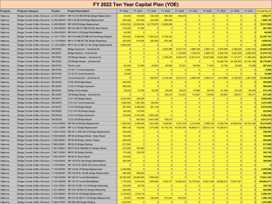## **FY 2022 Ten Year Capital Plan (YOE)**

| Program  | <b>Program Category</b>                                                        | Project | <b>Project Description</b>                                                               | FY 2022    | FY 2023                    | FY 2024         | FY 2025              | FY 2026              | FY 2027         | FY 2028        | FY 2029         | FY 2030         | FY 2031    | <b>Overall Result</b> |
|----------|--------------------------------------------------------------------------------|---------|------------------------------------------------------------------------------------------|------------|----------------------------|-----------------|----------------------|----------------------|-----------------|----------------|-----------------|-----------------|------------|-----------------------|
|          |                                                                                |         |                                                                                          |            |                            |                 |                      |                      |                 |                |                 |                 |            |                       |
| Highw ay |                                                                                |         | Bridge, Tunnels & Misc Structure A-072.52S001 MP A72.52 NB-605 ML Bridge Replacement     | 30,000     | 103,000                    | 530,450         | 546,364              | 450,204              | $\Omega$        | $\Omega$       | 0               | $\vert 0 \vert$ |            | 1,660,017             |
| Highw ay |                                                                                |         | Bridge, Tunnels & Misc Structure A-083.88S001 MP A-83.88 OH Bridge Replacement           | 300,000    | 618,000                    | 424,360         | 546,364              | $\Omega$             | $\Omega$        | $\overline{0}$ | 0               | $\vert 0 \vert$ |            | 1,888,724             |
| Highw ay | Bridge, Tunnels & Misc Structure A-088.59S001 MP A88.59 Bridge Replacement     |         |                                                                                          | 8,050,000  | 25,029,000                 | 25,779,870      | 13,659,088           | $\Omega$             | $\Omega$        | $\overline{0}$ | 0               | $\Omega$        |            | 72,517,958            |
| Highw ay |                                                                                |         | Bridge, Tunnels & Misc Structure A-094.26S001 MP A94 NB-617/NB-618 ML Deck Rehab         | 410,000    | 51,500                     | $\Omega$        | $\Omega$             | $\Omega$             | $\Omega$        | $\Omega$       | 0               | 0               |            | 461,500               |
| Highw ay |                                                                                |         | Bridge, Tunnels & Misc Structure A-099.00S001 MP A99-A128 Bridge Rehabilitation          | 40,000     | $\Omega$                   | 0               | 0                    | 0                    | 0               | 0              | 0               | 0               |            | 40,000                |
| Highw ay |                                                                                |         | Bridge, Tunnels & Misc Structure A-105.11S001 MP A105 NB-637/NB-638 OH Bridge Replace    | 540,000    | 2,008,500                  | 11,563,810      | 8,195,453            | 0                    | 0               | 0              | 0               | 0               |            | 22,307,763            |
| Highw ay |                                                                                |         | Bridge, Tunnels & Misc Structure A-110.00S001 MP A110 NB-647 ML Bridge Redecking         | 420,000    | 515,000                    | 530,450         | 393,382              | $\Omega$             | $\Omega$        | $\Omega$       | $\vert 0 \vert$ | $\Omega$        |            | 1,858,832             |
| Highw ay |                                                                                |         | Bridge, Tunnels & Misc Structure A-130.23S001 MP A130.23 NB-751 ML Bridge Replacement    | 2,800,000  | $\Omega$                   | 0               | 0                    | 0                    | $\vert$ 0       | $\Omega$       | 0               | $\vert$ 0       |            | 2,800,000             |
| Highw ay | Bridge, Tunnels & Misc Structure EN-00050                                      |         | Bridge Inspection - Systemwide                                                           | $\Omega$   | $\Omega$                   | $\Omega$        | 2,403,999            | 2,813,772            | 2,898,185       | 2,985,131      | 3,074,685       | 3,166,925       | 3,261,933  | 20,604,630            |
| Highw ay | Bridge, Tunnels & Misc Structure EN-00051                                      |         | Bridge Painting - Systemwide                                                             | $\Omega$   | $\overline{0}$<br>$\Omega$ | $\Omega$        | $\Omega$             | 1,125,509            | 1,159,274       | 2,388,105      | 2,459,748       | 2,533,540       | 2,609,546  | 12,275,722            |
| Highw ay | Bridge, Tunnels & Misc Structure EN-00052                                      |         | O/E Bridge Repairs - Systemw ide                                                         | $\Omega$   |                            | 0               | 2,185,454            | 9,904,478            | 10,201,612      | 10,507,660     | 10,822,890      | 11, 147, 577    | 11,482,004 | 66,251,674            |
| Highw ay | Bridge, Tunnels & Misc Structure EN-00054                                      |         | O/E Bridge Design - Systemwide                                                           | $\Omega$   | $\Omega$                   | 0               | $\Omega$             | $\Omega$             | $\Omega$        | $\Omega$       | 12,298,739      | 44,336,953      | 39,143,196 | 95,778,887            |
| Highw ay | Bridge, Tunnels & Misc Structure EN-00155                                      |         | Permit Loads                                                                             | 60,000     | 61,800                     | 63,654          | 65.564               | 67,531               | 69,556          | 71,643         | 73,792          | 76,006          | 78.286     | 687,833               |
| Highw ay | Bridge, Tunnels & Misc Structure EN-00195                                      |         | CY16-17 Tunnel Inspection                                                                | 4.500      | $\Omega$                   | 0               | 0                    | $\Omega$<br>$\Omega$ | $\Omega$        | 0 <br>$\Omega$ | 0               | 0 <br>$\Omega$  |            | 4,500                 |
| Highw ay | Bridge, Tunnels & Misc Structure EN-00196                                      |         | CY18-19 Tunnel Inspection                                                                | 10,000     | $\overline{0}$             | $\Omega$        | 0                    |                      | $\vert$ 0       |                | 0               |                 |            | 10,000                |
| Highw ay | Bridge, Tunnels & Misc Structure EN-00197                                      |         | Tunnel Inspection - Systemwide                                                           | $\Omega$   | $\Omega$                   | 954,810         | 2,185,454            | 2,813,772            | 2,898,185       | 2,985,131      | 3,074,685       | 3,166,925       | 3,261,933  | 21,340,895            |
| Highw ay | Bridge, Tunnels & Misc Structure EN-00245                                      |         | CY20 O/E Bridge Repair                                                                   | 255,000    | $\Omega$                   | $\Omega$        | $\Omega$<br>$\Omega$ | $\Omega$<br>$\Omega$ | $\Omega$        | $\Omega$       | $\Omega$        | $\Omega$        |            | 255,000               |
| Highw ay | Bridge, Tunnels & Misc Structure EN-00252                                      |         | CY20-21 Bridge Inspection                                                                | 995,000    | $\overline{0}$             | $\vert$ 0       |                      |                      | $\Omega$        | $\overline{0}$ | $\vert 0 \vert$ | $\vert 0 \vert$ |            | 995,000               |
| Highw ay | Bridge, Tunnels & Misc Structure EN-00253                                      |         | <b>Bridge Technologies</b>                                                               | 50,000     | 51,500                     | 53,045          | 54,636               | 56,275               | 57,964          | 59,703         | 61,494          | 63,339          | 65,239     | 573,194               |
| Highw ay | Bridge, Tunnels & Misc Structure EN-00254                                      |         | O/E Bridge Design - Systemwide                                                           | $\Omega$   | $\vert 0 \vert$            | 0               | 109,273              | 112,551              | 115,927         | 119,405        | 122,987         | 126,677         | 130,477    | 837,298               |
| Highw ay | Bridge, Tunnels & Misc Structure EN-00272                                      |         | CY21 O/E Bridge Repair                                                                   | 5,200,000  | 309,000                    | $\Omega$        | $\vert 0 \vert$      | $\Omega$             | $\Omega$        | $\Omega$       | $\Omega$        | $\Omega$        |            | 5,509,000             |
| Highw ay | Bridge, Tunnels & Misc Structure EN-00278                                      |         | CY21-22 Tunnel Inspection                                                                | 1,080,000  | 1,287,500                  | 106,090         | 0                    | $\Omega$             | $\Omega$        | 0              | 0               | 0               |            | 2,473,590             |
| Highw ay | Bridge, Tunnels & Misc Structure EN-00279                                      |         | CY22 O/E Bridge Repair                                                                   | 937,500    | 5,356,000                  | 281,139         | $\Omega$             | $\Omega$             | $\vert 0 \vert$ | $\Omega$       | 0               | 0               |            | 6,574,639             |
| Highw ay | Bridge, Tunnels & Misc Structure EN-00280                                      |         | FY21-24 O/E Bridge Design                                                                | 120,000    | 103,000                    | $\vert$ 0       | 0                    | $\Omega$             | 0               | $\Omega$       | 0               | 0               |            | 223,000               |
| Highw ay | Bridge, Tunnels & Misc Structure EN-00XX4                                      |         | CY22-23 Bridge Inspection                                                                | 155,000    | 2,575,000                  | 2,652,250       | $\Omega$             | $\Omega$             | $\Omega$        | $\Omega$       | $\Omega$        | $\vert 0 \vert$ |            | 5,382,250             |
| Highw ay | Bridge, Tunnels & Misc Structure EN-00XX5                                      |         | CY23 O/E Bridge Repair                                                                   | $\Omega$   | 463,500                    | 5,941,040       | 109,273              | $\Omega$             | $\Omega$        | $\Omega$       | $\Omega$        | $\Omega$        |            | 6,513,813             |
| Highw ay | Bridge, Tunnels & Misc Structure H-043.40S001                                  |         | MP H43.40 Bridge Replacement                                                             | 1,500,000  | 2,060,000                  | 1,591,350       | 1,639,091            | 2,251,018            | 2,318,548       | 2,388,105      | 2,459,748       | 24,068,632      | 39,143,196 | 79,419,686            |
| Highw ay | Bridge, Tunnels & Misc Structure   T-013.21S001   MP 13.21 Bridge Replacement  |         |                                                                                          | 668,136    | 103,000                    | 1,273,080       | 16,718,723           | 44,007,394           | 48,689,511      | 25,672,124     | 13,528,613      | $\vert 0 \vert$ |            | 150,660,582           |
| Highw ay |                                                                                |         | Bridge, Tunnels & Misc Structure T-028.01S002 MP 28.01 WB-308 OH Bridge Replacement      | 200,000    | $\vert 0 \vert$            | $\Omega$        | $\mathbf{0}$         | $\mathbf{0}$         | $\Omega$        | $\overline{0}$ | 0               | 0               |            | 200,000               |
| Highw ay |                                                                                |         | Bridge, Tunnels & Misc Structure T-048.02S003 MP 48.02 Bridge Rehab / Slope Repair       | 100,000    | $\Omega$                   | $\Omega$        | $\Omega$             | $\Omega$             | $\Omega$        | $\Omega$       | 0               | $\Omega$        |            | 100,000               |
| Highw ay | Bridge, Tunnels & Misc Structure T-056.56S001 MP 56.56 Bridge Collision Repair |         |                                                                                          | 495,000    | $\Omega$                   | 0               | 0                    | $\Omega$             | $\Omega$        | 0              | 0               | 0               |            | 495,000               |
| Highw ay | Bridge, Tunnels & Misc Structure T-060.43S001 MP 60.43 Bridge Painting         |         |                                                                                          | 917,500    | $\vert 0 \vert$            | 0               | $\Omega$             | $\Omega$             | 0               | 0              | 0               | 0               |            | 917,500               |
| Highw ay |                                                                                |         | Bridge, Tunnels & Misc Structure T-067.05S001 MP 67.05 B-458/WB-512 Bridge Rehab         | 274,000    | 103,000                    | 0               | 0                    | 0                    | 0               | 0              | 0               | 0               |            | 377,000               |
| Highw ay | Bridge, Tunnels & Misc Structure   T-087.16S001   MP 87-95 Bridge Painting     |         |                                                                                          | 175,000    | 128,750                    | $\Omega$        | $\Omega$             | 0                    | $\Omega$        | 0              | 0               | $\Omega$        |            | 303,750               |
| Highw ay | Bridge, Tunnels & Misc Structure T-090.20S001 MP 90.20 Slope Repair            |         |                                                                                          | 100,000    | $\Omega$                   | $\Omega$        | $\Omega$             | 0                    | $\Omega$        | 0              | 0               | $\Omega$        |            | 100,000               |
| Highw ay |                                                                                |         | Bridge, Tunnels & Misc Structure T-109.93S001 MP 109.93 B-348 Bridge Rehabilitation      | 300,000    | $\vert 0 \vert$            | $\vert 0 \vert$ | 0                    | 0                    | $\Omega$        | 0              | 0               | $\Omega$        |            | 300,000               |
| Highw ay |                                                                                |         | Bridge, Tunnels & Misc Structure T-130.93S001 MP 130.93 B-302/B-303 Culvert Rehab        | $\Omega$   | $\overline{0}$             | $\Omega$        | $\Omega$             | 0                    | $\Omega$        | $\Omega$       | 0               | $\Omega$        |            | 0                     |
| Highw ay |                                                                                |         | Bridge, Tunnels & Misc Structure T-144.85S001 MP 144.85 OH Bridge Replacement            | 2,439,668  | 0                          | 0               | 0                    | 0                    | 0               | 0              | 0               | 0               |            | 2,439,668             |
| Highw ay |                                                                                |         | Bridge, Tunnels & Misc Structure T-148.06S001 MP 148.06 B-140 ML Bridge Replacement      | 480,000    | 206,000                    | 0               | $\Omega$             | 0                    | $\Omega$        | $\Omega$       | $\vert 0 \vert$ | 0               |            | 686,000               |
| Highw ay | Bridge, Tunnels & Misc Structure T-186.20S004 MP 186.20 Tunnel Rehabilitation  |         |                                                                                          | 42,300,000 | 25,956,000                 | 7,585,435       | 0                    | $\Omega$             | $\Omega$        | $\Omega$       | $\Omega$        | $\Omega$        |            | 75,841,435            |
| Highw ay | Bridge, Tunnels & Misc Structure T-197.48S003 MP 197.48 Tunnel Rehabilitation  |         |                                                                                          | 1,775,000  | 2,575,000                  | 1,060,900       | 1,092,727            | 16,882,632           | 34,778,222      | 35,821,569     | 36,896,216      | 19,001,551      |            | 149,883,817           |
| Highw ay |                                                                                |         | Bridge, Tunnels & Misc Structure T-233.74S001 MP 233.74 EB-110 OH Bridge Redecking       | 740,000    | 25,750                     | $\Omega$        | $\Omega$             | 0                    | $\Omega$        | $\Omega$       | 0               | $\Omega$        |            | 765,750               |
| Highw ay |                                                                                |         | Bridge, Tunnels & Misc Structure T-241.96S001 MP T241.96 EB-203 Bridge Redecking         | 424,000    | $\vert 0 \vert$            | $\vert 0 \vert$ | 0                    | 0                    | 0               | 0              | 0               | $\Omega$        |            | 424,000               |
| Highw ay |                                                                                |         | Bridge, Tunnels & Misc Structure   T-250.09S001   MP 250.09 OH Bridge Replacement        | 3,479,633  | 1,814,718                  | $\Omega$        | $\Omega$             | $\Omega$             | $\Omega$        | $\Omega$       | 0               | $\Omega$        |            | 5,294,351             |
| Highw ay |                                                                                |         | Bridge, Tunnels & Misc Structure   T-272.65S001   MP 272.65 EB-511 OH Bridge Replacement | 30,000     | 103,000                    | 530,450         | 437,091              | 450,204              | $\Omega$        | 0              | 0               | $\Omega$        |            | 1,550,744             |
| Highw ay | Bridge, Tunnels & Misc Structure   T-285.27S001   MP 285-296 Bridge Painting   |         |                                                                                          | 1,235,000  | $\overline{0}$             | 0               | 0                    | 0                    | 0               | 0              | 0               | 0               |            | 1,235,000             |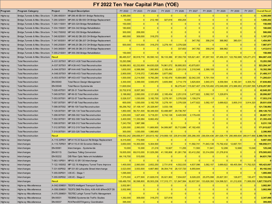### **Program Program Category Project Project Description** FY 2022 FY 2023 FY 2024 FY 2025 FY 2026 FY 2027 FY 2028 FY 2029 FY 2030 FY 2031 Overall Result Highw ay Bridge,Tunnels & Misc Structure T-286.48S001 MP 286.48 EB-541 Bridge Redecking 4,385,000 0 0 0 0 0 0 0 0 0 **4,385,000** Highway Bridge,Tunnels & Misc Structure T-290.32S001 MP 290.32 EB-550 OH Bridge Replacement **10,000** 0 212,180 327,818 450,204 0 0 0 0 0 0 0 0 0 0 1,000,202 Highw ay Bridge,Tunnels & Misc Structure T-320.11S001 MP 320-324 Bridge Rehabilitation 150,000 0 0 0 0 0 0 0 0 0 **150,000** Highw ay Bridge,Tunnels & Misc Structure T-334.15S001 MP 334-342 Bridge Rehabilitation 180,600 0 0 0 0 0 0 0 0 0 **180,600** Highw ay Bridge,Tunnels & Misc Structure T-342.75S002 MP 342-350 Bridge Rehabilitation 300,000 206,000 0 0 0 0 0 0 0 0 **506,000** Highw ay Bridge,Tunnels & Misc Structure T-346.82S001 MP 346.82 DB-203 OH Bridge Replacement 480,000 309,000 318,270 0 0 0 0 0 0 0 **1,107,270** Highw ay Bridge,Tunnels & Misc Structure T-347.60S001 MP 347.60 DB-207 OH Bridge Replacement **0 0 0 0 0 0 0 0 0 347,782** 358,216 368,962 380,031 0 1,454,991 Highw ay Bridge,Tunnels & Misc Structure T-348.25S001 MP 348.25 DB-210 OH Bridge Replacement 500,000 515,000 318,270 3,278,181 3,376,526 0 0 0 0 0 **7,987,977** Highway Bridge,Tunnels & Misc Structure T-349.38S001 MP 349.38 DB-213 OH Bridge Replacement **0 0 0 0 0 0 0 0 0 0 0 0 1,412,613** Highw ay Bridge,Tunnels & Misc Structure T-355.21S001 MP 355-358 Bridge Rehabilitation 150,000 0 0 0 0 0 0 0 0 0 **150,000** Highw ay Bridge,Tunnels & Misc Structure Result 86,485,537 80,918,718 65,590,143 56,133,386 87,350,739 105,621,461 87,297,163 87,456,331 122,762,689 125,271,273 **904,887,438** Highw ay Total Reconstruction A-031.00T001 MP A31-A38 Total Reconstruction 15,293,596 0 0 0 0 0 0 0 0 0 **15,293,596** Highw ay Total Reconstruction A-037.50T001 MP A38-A43 Total Reconstruction 18,889,993 62,232,600 64,630,028 74,961,072 58,895,003 43,675,651 0 0 0 0 0 0 0 0 233,284,347 Highw ay Total Reconstruction A-044.00T001 MP A44-A48 Total Reconstruction 1,600,000 6,588,566 1,060,900 2,185,454 2,251,018 2,318,548 2,388,105 0 0 0 **18,392,590** Highw ay Total Reconstruction A-048.00T001 MP A48-A53 Total Reconstruction 2,900,000 7,319,372 7,383,864 3,877,082 0 0 0 0 0 0 **21,480,317** Highw ay Total Reconstruction A-053.00T001 MP A53-A57 Total Reconstruction 1,500,000 2,214,500 9,760,280 9,182,478 10,804,885 32,042,335 5,791,154 0 0 0 **71,295,631** Highw ay Total Reconstruction EN-00040 Total Recon Design Management 3,300,000 3,399,000 3,500,970 3,605,999 3,714,179 3,825,604 3,940,373 4,058,584 4,180,341 4,305,752 37,830,802 Highw ay Total Reconstruction EN-00048 Total Recon Systemw ide 11,600,004 0 0 0 56,275,441 115,927,407 216,720,492 272,048,099 272,988,953 272,988,953 272,597,595 1,218,257,991 Highw ay Total Reconstruction T-028.45T001 MP 28-31 Total Reconstruction 33,702,918 8,937,363 0 0 0 0 0 0 0 0 **42,640,281** Highw ay Total Reconstruction T-049.00T001 MP 49-53 Total Reconstruction 3,188,682 2,060,000 2,121,800 2,185,454 2,251,018 3,477,822 3,582,157 1,229,874 0 0 **20,096,807** Highw ay Total Reconstruction T-053.00T001 MP 53-57 Total Reconstruction <mark> 5,526,537 1,030,000 3,182,700 3,278,181 3,376,526 1,159,274 0 0 0 0 17**,553,219**</mark> Highw ay Total Reconstruction T-057.00T001 MP 57-68 Total Reconstruction 600,000 1,030,000 3,182,700 3,278,181 3,376,526 3,477,822 3,582,157 3,689,622 3,800,310 3,914,320 **29,931,638** Highw ay Total Reconstruction T-099.00T002 MP 99-109 Total Reconstruction 56,256,762 37,108,147 25,328,947 3,033,136 0 0 0 0 0 0 **121,726,992** Highw ay Total Reconstruction T-129.00T001 MP 126-134 Total Reconstruction 1,850,000 56,701,500 58,349,500 53,488,987 29,736,767 0 0 0 0 0 **200,126,753** Highw ay Total Reconstruction T-298.00T001 MP 298-302 Total Reconstruction 1,200,000 1,627,400 5,718,251 6,742,126 9,420,509 2,179,435 0 0 0 0 **26,887,721** Highw ay Total Reconstruction T-302.00T001 MP 302-308 Total Reconstruction 3,400,000 11,330,984 6,662,452 0 0 0 0 0 0 0 **21,393,436** Highw ay Total Reconstruction T-308.00T001 MP 308-312 Total Reconstruction 7,243,750 1,987,386 0 0 0 0 0 0 0 0 **9,231,136** Highw ay Total Reconstruction T-312.00T003 MP 312-319 Total Reconstruction 1,200,000 2,060,000 11,669,900 54,089,987 55,712,686 47,182,455 0 0 0 0 **171,915,027** Highw ay Total Reconstruction T-319.00T001 MP 320-326 Total Reconstruction 300,000 1,030,000 1,060,900 0 0 0 0 0 0 0 **2,390,900** Highw ay Total Reconstruction Result Result 169,552,242 206,656,817 203,613,192 219,908,135 235,814,556 255,266,355 236,004,436 281,026,178 280,969,604 280,917,666 2,369,729,183 Highw ay Interchanges A-115.33P001 MP A115.33 Suscon Rd Bridge Replacement 8,315,000 772,500 0 0 0 0 0 0 0 0 **9,087,500** Highw ay Interchanges A-115.70P001 MP A115-A130 Scranton Beltw ay **3,650,000 10,300,000 5,304,500 0 11,592,741 71,643,138 73,792,432 12,667,701 0 188,950,511** Highw ay Interchanges EN-00061 Interchanges - Systemw ide 10,000 10,300 21,218 10,927 11,255 11,593 11,941 12,299 12,668 13,048 **125,248** Highw ay Interchanges EN-00115 Cashless Tolling Conversion 19,005,000 69,010,000 51,029,290 41,195,808 81,261,736 63,412,292 33,314,059 21,276,818 0 0 0 3**79,505,003** Highw ay Interchanges EN-00232 D/B Fiber Optic Netw ork Installation 64,116,700 515,000 0 0 0 0 0 0 0 0 **64,631,700** Highw ay Interchanges T-063.10P001 MP 63.10 SR 130 Interchange 0 0 0 0 0 0 0 0 0 0 **0** Highw ay Interchanges The T-122.18S002 MP 122.18 Allegheny Tunnel Trans Improve 1,400,000 2,060,000 2,652,250 2,731,818 4,502,035 4,637,096 3,582,157 3,689,622 68,405,584 71,762,525 165,423,087 Highw ay Interchanges T-331.60P002 MP 331.60 Lafayette Street Interchange 3,523,000 3,553,500 4,667,960 38,354,718 28,137,720 6,955,644 0 0 0 0 0 85,192,542 Highw ay Interchanges T-355.00P001 I-95 I/C - Stage 1 1,095,000 0 0 0 0 0 0 0 0 0 **1,095,000** Highw ay Interchanges T-355.00P002 I-95 I/C - Stage 2 7,375,000 1,377,500 21,828,018 35,021,900 7,934,837 6,028,225 25,075,098 25,827,351 126,677 130,477 130,477 130,477 130,477 130,477 130,477 130,477 130,477 130,477 130, Highw ay Interchanges Result Result 108,489,700 90,598,800 85,503,236 117,315,171 121,847,584 92,637,591 133,626,393 124,598,521 81,212,630 71,906,050 1**,027,735,675** Highw ay Highw ay Miscellaneous A-042.00M001 TEOITS Intelligent Transport System 3,002,991 0 0 0 0 0 0 0 0 0 **3,002,991** Highw ay Highw ay Miscellaneous A-056.00M001 TEOITS DMS Pre-Entry A56-A95 &PennDOT D5 3,002,990 0 0 0 0 0 0 0 0 0 **3,002,990** Highw ay Highw ay Miscellaneous A-070.26M001 TEOTEC Lehigh Tunnel Traffic Management 0 0 0 0 0 0 0 0 0 0 **0** Highw ay Highw ay Miscellaneous EN-00031 TEOENG Systemw ide Traffic Studies 1,392,000 309,000 318,270 327,818 0 0 0 0 0 0 **2,347,088** Highw ay Highway Miscellaneous EN-00037 PLN PennDOT/Agency Coordination **395,000** 0 0 0 0 0 0 0 0 0 0 0 0 0 0 0 **F O FY 2022 Ten Year Capital Plan (YOE)**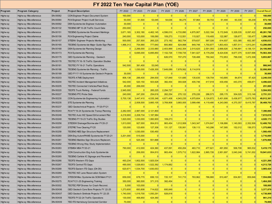### **FY 2022 Ten Year Capital Plan (YOE)**

| Program  | <b>Program Category</b>       | Project         | <b>Project Description</b>                    | FY 2022        | FY 2023         | FY 2024         | FY 2025   | FY 2026   | FY 2027         | FY 2028        | FY 2029         | FY 2030         | FY 2031   | <b>Overall Result</b> |
|----------|-------------------------------|-----------------|-----------------------------------------------|----------------|-----------------|-----------------|-----------|-----------|-----------------|----------------|-----------------|-----------------|-----------|-----------------------|
| Highw ay | <b>Highway Miscellaneous</b>  | EN-00062        | CON Engineer Project Document System          | 160,000        | 0               | 0               | 0         | 0         | $\Omega$        | 0              | 0               | 0               |           | 160,000               |
| Highw ay | <b>Highw ay Miscellaneous</b> | EN-00064        | PLN Engineer Project Audit Services           | 50,000         | 51,500          | 53,045          | 54,636    | 56,275    | 57,964          | 59,703         | 61,494          | 63,339          | 65,239    | 573,194               |
| Highw ay | Highw ay Miscellaneous        | EN-00092        | DSN Systemw ide Engineer Automation           | 30,000         | $\vert 0 \vert$ | $\Omega$        | 0         | 0         | $\Omega$        | $\overline{0}$ | 0               | $\Omega$        |           | 30,000                |
| Highw ay | Highw ay Miscellaneous        | EN-00132        | TEOENG MP 10-28 Traffic Count Data            | 250,000        | $\Omega$        | $\Omega$        | $\Omega$  | $\Omega$  | $\Omega$        | $\Omega$       | $\Omega$        | $\vert$ 0       |           | 250,000               |
| Highw ay | Highw ay Miscellaneous        | EN-00151        | <b>TEOENG Systemw ide Pavement Markings</b>   | 3,671,165      | 3,302,180       | 4,462,145       | 4,596,010 | 4,733,890 | 4,875,907       | 5,022,184      | 5,172,849       | 5,328,035       | 8,097,422 | 49,261,788            |
| Highw ay | Highw ay Miscellaneous        | EN-00156        | PLN Engineering Project Claims                | 240,000        | 103,000         | 106,090         | 109,273   | 112,551   | 115,927         | 119,405        | 122,987         | 126,677         | 130,477   | 1,286,388             |
| Highw ay | <b>Highway Miscellaneous</b>  | EN-00157        | <b>STEENV Engineer Projects Monitoring</b>    | 500,000        | 257,500         | 265,225         | 273,182   | 562,754   | 579,637         | 597,026        | 614,937         | 633,385         | 652,387   | 4,936,033             |
| Highw ay | <b>Highway Miscellaneous</b>  | EN-00165        | TEOENG Systemw ide Major Guide Sign Plan      | 1,966,313      | 754,990         | 777,640         | 800,969   | 824,998   | 849,748         | 1,750,877      | 1,803,403       | 1,857,511       | 1,913,24  | 13,299,690            |
| Highw ay | <b>Highway Miscellaneous</b>  | EN-00168        | DSN Systemw ide Planning Design               | $\mathbf{0}$   | 2,266,000       | 2,333,980       | 2,403,999 | 2,442,354 | 2,515,625       | 2,591,093      | 2,668,826       | 2,748,891       | 4,136,13' | 24,106,900            |
| Highw ay | <b>Highway Miscellaneous</b>  | EN-00173        | PLN Systemw ide Planning                      | $\Omega$       | 6,695,000       | 6,895,850       | 7,102,726 | 7,709,735 | 7,941,027       | 8,179,258      | 8,424,636       | 8,677,375       | 8,937,696 | 70,563,304            |
| Highw ay | <b>Highway Miscellaneous</b>  | EN-00175        | GEO Systemw ide Planning - Geotech            | $\Omega$       | $\Omega$        | $\vert 0 \vert$ | 626,570   | 707,270   | 728,488         | 750,342        | 772,853         | 796,038         | 1,472,306 | 5,853,867             |
| Highw ay | Highw ay Miscellaneous        | EN-00178        | TEOTEC FY16-18 Traffic Operation Studies      | $\Omega$       | $\overline{0}$  | $\mathbf{0}$    | 0         | 0         | 0               | 0              | 0               | 0               |           | 0                     |
| Highw ay | <b>Highway Miscellaneous</b>  | EN-00181        | TEOTEC FY19-21 Traffic Operations             | 542,500        | 391,400         | 53,045          | 0         | 0         | 0               | 0              | 0               | 0               |           | 986,945               |
| Highw ay | Highw ay Miscellaneous        | EN-00186        | TEOENG Systemw ide Planning - Traffic         | $\Omega$       | 1,030,000       | 7,426,300       | 7,649,089 | 7,878,562 | 8,114,919       | $\Omega$       | $\Omega$        | $\overline{0}$  |           | 32,098,869            |
| Highw ay | Highw ay Miscellaneous        | EN-00189        | GEO FY17-18 Systemw ide Geotech Projects      | 30,000         | $\overline{0}$  | $\overline{0}$  | $\Omega$  | $\Omega$  | $\vert 0 \vert$ | $\Omega$       | 0               | 0               |           | 30,000                |
| Highw ay | <b>Highway Miscellaneous</b>  | EN-00203        | <b>TEOITS ATMS Deployment</b>                 | 806,138        | 288,400         | 294,930         | 127,849   | 131,685   | 135,635         | 139,704        | 143,895         | 84,874          | 87,420    | 2,240,530             |
| Highw ay | <b>Highway Miscellaneous</b>  | EN-00204        | <b>TEOTEC Incident Management Initiatives</b> | 542,000        | 520,150         | 503,928         | 382,454   | 393,928   | 405,746         | 417,918        | 430,456         | 443,370         | 456,67    | 4,496,620             |
| Highw ay | Highw ay Miscellaneous        | EN-00205        | <b>TEOTEC Connected Vehicles/Fleet Study</b>  | 45,000         | 206,000         | $\overline{0}$  | $\Omega$  | $\Omega$  | $\vert 0 \vert$ | $\overline{0}$ | $\vert 0 \vert$ | $\vert 0 \vert$ |           | 251,000               |
| Highw ay | Highw ay Miscellaneous        | EN-00220        | <b>TEOITS Truck Parking - Federal Funds</b>   | 2,945,000      | $\Omega$        | 265,225         | 2,294,727 | 0         | $\Omega$        | $\Omega$       | $\Omega$        | 0               |           | 5,504,952             |
| Highw ay | <b>Highway Miscellaneous</b>  | EN-00227        | <b>TEOENG PTC Probe Data</b>                  | 240,000        | 247,200         | 254,616         | 262,254   | 270,122   | 278,226         | 286,573        | 295,170         | 304,025         | 313,146   | 2,751,331             |
| Highw ay | <b>Highway Miscellaneous</b>  | EN-00230        | CON Systemw ide Engineering Automation        | 5,700,138      | 3,447,410       | 4,535,348       | 4,671,408 | 4,943,235 | 4,975,604       | 5,124,872      | 5,401,606       | 5,436,977       | 5,675,763 | 49,912,361            |
| Highw ay | <b>Highway Miscellaneous</b>  | EN-00235        | STE Systemw ide Planning                      | $\Omega$       | 2,008,500       | 3,660,105       | 3,769,908 | 3,883,005 | 3,999,496       | 4,119,480      | 4,243,065       | 4,370,357       | 8,415,787 | 38,469,703            |
| Highw ay | <b>Highway Miscellaneous</b>  | EN-00237        | GEO Geotechnical Projects - FY20-FY21         | $\Omega$       | $\Omega$        | $\Omega$        | $\Omega$  | $\Omega$  | $\Omega$        | $\Omega$       | $\Omega$        | $\Omega$        |           | $\mathbf{0}$          |
| Highw ay | <b>Highway Miscellaneous</b>  | EN-00240        | PLN FY19-24 Systemw ide Transp Planning       | 2,282,000      | 2,987,000       | 2,121,800       | $\Omega$  | 0         | $\Omega$        | $\Omega$       | 0               | 0               |           | 7,390,800             |
| Highw ay | <b>Highway Miscellaneous</b>  | EN-00246        | TEOTEC Auto WZ Speed Enforcement Pilot        | 4,218,900      | 2,208,734       | 1,187,984       | $\Omega$  | 0         | 0               | $\overline{0}$ | 0               | 0               |           | 7,615,618             |
| Highw ay | <b>Highway Miscellaneous</b>  | EN-00248        | TEOENG FY19-23 Traffic Eng Studies            | 1,820,000      | 1,030,000       | 1,060,900       | 109,273   | 0         | $\Omega$        | $\overline{0}$ | 0               | 0               |           | 4,020,173             |
| Highw ay | <b>Highway Miscellaneous</b>  | EN-00256        | STEDSW Drainage/Stormw ater FY20-21           | 1,813,000      | 927,000         | 954,810         | 983,454   | 1,012,958 | 1,043,347       | 1,074,647      | 1,106,886       | 1,140,093       | 2,352,506 | 12,408,702            |
| Highw ay | Highw ay Miscellaneous        | EN-00257        | STETRE Tree Clearing FY20                     | 120,000        | 123,600         | 127,308         | 131,127   | 135,061   | 139,113         | 143,286        | 147,585         | 152,012         | 156,573   | 1,375,666             |
| Highw ay | <b>Highway Miscellaneous</b>  | EN-00258        | <b>TEOENG NEE Sign Structure Replacement</b>  | $\overline{0}$ | 1,030,000       | 530,450         | 0         | 0         | $\vert 0 \vert$ | $\overline{0}$ | 0               | $\Omega$        |           | 1,560,450             |
| Highw ay | <b>Highw ay Miscellaneous</b> | EN-00260        | DSN Eng Autom/PAMS Systemwide FY20-21         | 3,201,000      | 515,000         | 0               | 0         | 0         | $\vert 0 \vert$ | $\overline{0}$ | 0               | $\vert 0 \vert$ |           | 3,716,000             |
| Highw ay | <b>Highway Miscellaneous</b>  | EN-00261        | TEOENG Mainline Sign Structure Replacem.      | $\mathbf{0}$   | 525,300         | 551,668         | 0         | 0         | $\mathbf{0}$    | $\overline{0}$ | 0               | 0               |           | 1,076,968             |
| Highw ay | Highw ay Miscellaneous        | EN-00262        | <b>TEOENG Wrong Way Study Implementation</b>  | $\overline{0}$ | $\overline{0}$  | 0               | $\Omega$  | 0         | $\vert 0 \vert$ | $\Omega$       | 0               | $\vert 0 \vert$ |           | $\Omega$              |
| Highw ay | Highw ay Miscellaneous        | EN-00263        | STEMS4 MS4 FY20-21                            | 790,000        | 412,000         | 424,360         | 437,091   | 450,204   | 463,710         | 477,621        | 491,950         | 506,708         | 965,532   | 5,419,175             |
| Highw ay | Highw ay Miscellaneous        | EN-00264        | CON Construction Eng Auto Systemwide          | $\Omega$       | 206,000         | 954,810         | 983,454   | 1,575,712 | 1,622,984       | 2,865,726      | 2,951,697       | 3,040,248       | 5,741,002 | 19,941,633            |
| Highw ay | Highw ay Miscellaneous        | EN-00265        | TEOENG Carlisle I/C Signage and Pavement      | $\Omega$       | $\Omega$        | $\Omega$        | 0         | $\Omega$  | $\Omega$        | $\Omega$       | 0               | $\Omega$        |           | 0                     |
| Highw ay | Highw ay Miscellaneous        | EN-00266        | <b>TEOITS Western ITS Gaps</b>                | 493,234        | 1,802,500       | 1,925,534       | 0         | $\Omega$  | $\Omega$        | 0              | 0               | $\vert 0 \vert$ |           | 4,221,268             |
| Highw ay | <b>Highway Miscellaneous</b>  | EN-00267        | <b>TEOITS Central ITS Gaps</b>                | 490,000        | 1,026,653       | 1,522,392       | 1,174,682 | 0         | $\vert 0 \vert$ | $\Omega$       | 0               | 0               |           | 4,213,726             |
| Highw ay | <b>Highway Miscellaneous</b>  | EN-00268        | TEOITS Eastern ITS Gaps (D4-D5)               | 620,671        | 1,534,700       | 1,830,053       | 0         | $\Omega$  | $\Omega$        | $\mathbf 0$    | 0               | $\Omega$        |           | 3,985,424             |
| Highw ay | <b>Highway Miscellaneous</b>  | EN-00269        | <b>TEOTEC WZ Lane Reservation System</b>      | $\Omega$       | $\Omega$        | 0               | $\Omega$  | $\Omega$  | $\Omega$        | $\overline{0}$ | $\vert$ 0       | $\Omega$        |           |                       |
| Highw ay | <b>Highway Miscellaneous</b>  | EN-00273        | STESCM Misc Systemw ide SCM Maint FY21        | 659,000        | 678,770         | 699,133         | 720,107   | 741,710   | 763,962         | 786,880        | 810,487         | 834,801         | 859,846   | 7,554,696             |
| Highw ay | <b>Highway Miscellaneous</b>  | EN-00275        | PLN FY21-25 Engineering Training              | 350,000        | 360,500         | 371,315         | 382,454   | 0         | $\mathbf{0}$    | $\mathbf{0}$   | 0               | 0               |           | 1,464,269             |
| Highw ay | Highw ay Miscellaneous        | EN-00302        | TEOTEC PSP Drones for Crash Reconst.          | 5,000          | 103,000         | $\Omega$        | 0         | 0         | $\Omega$        | $\Omega$       | $\vert 0 \vert$ | $\Omega$        |           | 108,000               |
| Highw ay | <b>Highway Miscellaneous</b>  | <b>EN-00XX6</b> | GEO Geotech Core Bore Projects FY 22-25       | 1,273,600      | 693,808         | 714,622         | 695,849   | 0         | 0               | 0              | 0               | 0               |           | 3,377,879             |
| Highw ay | <b>Highway Miscellaneous</b>  | <b>EN-00XX7</b> | GEO Geotech Sinkhole Projects FY 22-25        | 1,740,000      | 1,019,700       | 1,050,291       | 928,818   | 0         | 0               | 0              | 0               | 0               |           | 4,738,809             |
| Highw ay | <b>Highway Miscellaneous</b>  | <b>EN-00XX8</b> | TEOITS FY22-24 Traffic Operations             | 130,000        | 406,850         | 424,360         | 0         | 0         | 0               | $\overline{0}$ | 0               | 0               |           | 961,210               |
| Highw ay | <b>Highway Miscellaneous</b>  | <b>EN-00XX9</b> | TEO ITS Harrisburg Connected Corridor         | 70,000         | $\overline{0}$  | 0               | 0         | 0         | 0               | 0              | 0               | 0               |           | 70,000                |
|          |                               |                 |                                               |                |                 |                 |           |           |                 |                |                 |                 |           |                       |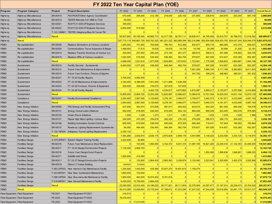|             | FY 2022 Ten Year Capital Plan (YOE) |                 |                                                    |                 |                 |                                     |              |                                             |                 |                                     |                 |                         |            |                       |
|-------------|-------------------------------------|-----------------|----------------------------------------------------|-----------------|-----------------|-------------------------------------|--------------|---------------------------------------------|-----------------|-------------------------------------|-----------------|-------------------------|------------|-----------------------|
| Program     | <b>Program Category</b>             | Project         | <b>Project Description</b>                         | FY 2022         | FY 2023         | FY 2024                             | FY 2025      | FY 2026                                     | FY 2027         | FY 2028                             | FY 2029         | FY 2030                 | FY 2031    | <b>Overall Result</b> |
| Highw ay    | Highw ay Miscellaneous              | EN-00X10        | PLN PADOT/Other Agency Coordination                | 570,000         | 206,000         | 212,180                             | 218,545      | 225,102                                     | 231,855         | 238,810                             | 245,975         | 253,354                 | 587,148    | 2,988,969             |
| Highw ay    | <b>Highway Miscellaneous</b>        | EN-00X12        | TEOITS Relocate A41 DMS to T120                    | 50,000          | $\vert 0 \vert$ | $\Omega$                            | $\Omega$     |                                             | $\Omega$        | 0                                   | $\Omega$        | 0                       |            | 50,000                |
| Highw ay    | <b>Highway Miscellaneous</b>        | ES-02021        | PLN FY21 GCE CP Engineer Services                  | 300,000         | $\vert 0 \vert$ | 0                                   | $\Omega$     |                                             | $\overline{0}$  | 0                                   | $\Omega$        | $\vert 0 \vert$         |            | 300,000               |
| Highw ay    | Highw ay Miscellaneous              | ES-02022        | PLN FY22 GCE CP Engineer Services                  | 6,000,000       | 515,000         | 0                                   | $\Omega$     | $\Omega$                                    | $\overline{0}$  | 0                                   | $\Omega$        | 0                       |            | 6,515,000             |
| Highw ay    | <b>Highway Miscellaneous</b>        |                 | T-122.18M001   TEOTEC Allegheny/Blue Kit Tunnel TM | $\Omega$        | $\Omega$        | $\Omega$                            | $\Omega$     |                                             | $\Omega$        | $\Omega$                            |                 | $\Omega$                |            |                       |
| Highw ay    | <b>Highway Miscellaneous</b>        | Result          |                                                    | 52,507,640      | 40,190,345      |                                     |              | 48,869,710 42,217,726 38,791,111            | 39,838,917      | 34,745,408                          | 35,910,757      | 36,798,070 51,016,292   |            | 420,885,977           |
| Highw ay    | <b>Result</b>                       |                 |                                                    | 537,715,119     | 540,867,729     | 540,762,320 581,521,222 582,889,284 |              |                                             |                 | 582,216,886 582,504,958 624,503,792 |                 | 624,047,344 624,046,579 |            | 5,821,075,233         |
| FEMO        | Re-capitalization                   | EN-00009        | Replace Generators at Various Locations            | 1,640,000       | 741,600         | 763,848                             | 786,763      | 810,366                                     | 834,677         | 859,718                             | 885,509         | 912,074                 | 939,437    | 9,173,993             |
| <b>FEMO</b> | Re-capitalization                   | EN-00209        | Communications Tow er Inspection & Repair          | 1,488,000       | 17,510          | 18,035                              | 18,576       | 19,134                                      | 19,708          | 20,299                              | 20,908          | 21,535                  | 22,181     | 1,665,886             |
| FEMO        | Re-capitalization                   | EN-00X14        | Replace Transfer Switches at Various Loc           | 420,000         | 257,500         | 265,225                             | 273,182      | 281,377                                     | 289,819         | 298,513                             | 307,468         | 316,693                 | 326,193    | 3,035,970             |
| FEMO        | Re-capitalization                   | <b>EN-00X15</b> | Replace UPSs at Various Locations                  | 1,020,000       | 515,000         | 530,450                             | 546,364      | 562,754                                     | 579,637         | 597,026                             | 614,937         | 633,385                 | 652,387    | 6,251,940             |
| FEMO        | Re-capitalization                   | Result          |                                                    | 4,568,000       | 1,531,610       | 1,577,558                           | 1,624,885    | 1,673,632                                   | 1,723,841       | 1,775,556                           | 1,828,822       | 1,883,687               | 1,940,198  | 20,127,789            |
| FEMO        | Sustainment                         | EN-00210        | Facility Security - Systemwide                     | 8,400,000       | 1,277,200       | 530,450                             | 546,364      | 562,754                                     | 579,637         | 597,026                             | 614,937         | 633,385                 | 652,387    | 14,394,140            |
| <b>FEMO</b> | Sustainment                         | EN-00212        | Future Year Maintenance & Improvements             | $\Omega$        | $\Omega$        | 0                                   | $\Omega$     |                                             | 7,651,209       | 7,880,745                           | 8,117,168       | 8,360,683               | 8,611,503  | 40,621,307            |
| FEMO        | Sustainment                         | EN-00214        | Future Year Furniture, Fixtures & Eqpmnt           | $\Omega$        | $\Omega$        | $\Omega$                            | $\Omega$     |                                             | 347,782         | 358,216                             | 368,962         | 380,031                 | 391,432    | 1,846,423             |
| FEMO        | Sustainment                         | EN-00241        | FY 19-23 Facility Repairs                          | 3,795,000       | 4,892,500       | $\Omega$                            | $\Omega$     | $\Omega$                                    | $\Omega$        | 0                                   | $\Omega$        | $\vert 0 \vert$         |            | 8,687,500             |
| FEMO        | Sustainment                         | EN-00242        | FY 22-26 Maintenance & Improvements                | 3,164,000       | 6,386,000       | 7,001,940                           | 7,211,998    | 7,428,358                                   | $\vert 0 \vert$ | 0                                   | 0               | $\vert 0 \vert$         |            | 31,192,296            |
| <b>FEMO</b> | Sustainment                         | EN-00243        | FY 22-26 Furniture, Fixtures & Equipment           | 300,000         | 309,000         | 318,270                             | 327,818      | 337,653                                     | $\vert 0 \vert$ | 0                                   | $\vert 0 \vert$ | $\vert 0 \vert$         |            | 1,592,741             |
| FEMO        | Sustainment                         | EN-00244        | FY 24-28 Facility Repairs                          | $\mathbf{0}$    | $\overline{0}$  | 4,402,735                           | 4,534,817    | 4,670,862                                   | 4,810,987       | 4,955,317                           | 5,103,977       | 5,257,096               | 5,414,809  | 39,150,599            |
| FEMO        | Sustainment                         | Result          |                                                    | 15.659.000      | 12,864,700      | 12,253,395                          | 12,620,997   | 12,999,627                                  | 13,389,616      | 13,791,304                          | 14,205,043      | 14,631,194              | 15,070,130 | 137,485,006           |
| FEMO        | Compliance                          | EN-00247        | <b>Facility Environmental Compliance</b>           | 2,500,000       | 2,987,000       | 3,129,655                           | 3,278,181    | 3,489,077                                   | 3,709,677       | 3,940,373                           | 4,181,571       | 4,433,695               | 4,697,183  | 36,346,413            |
| FEMO        | Compliance                          | Result          |                                                    | 2,500,000       | 2,987,000       | 3,129,655                           | 3,278,181    | 3,489,077                                   | 3,709,677       | 3,940,373                           | 4,181,571       | 4,433,695               | 4,697,183  | 36,346,413            |
| FEMO        | New Energy Initiative               | EN-00065        | PSU Energy and Facility Assessment Prog            | 537,936         | 554,074         | 570,696                             | 587,817      | 605,452                                     | 623,615         | 642,324                             | 661,593         | 684,056                 | 704,578    | 6,172,141             |
| FEMO        | New Energy Initiative               | EN-00101        | <b>Energy Conservation Initiatives</b>             | 600,000         | 618,000         | 636,540                             | 819,545      | 844,132                                     | 869,456         | 895,539                             | 922,405         | 950,078                 | 978,580    | 8,134,274             |
| FEMO        | New Energy Initiative               | EN-00102        | Green Pow er Initiatives                           | 1,200           | 1,236           | 1,273                               | 1,311        | 1,351                                       | 1,391           | 1,433                               | 1,476           | 1,520                   | 1,566      | 13,757                |
| FEMO        | New Energy Initiative               | EN-00121        | Repair High Mast Lighting - Various Sites          | 240,000         | 247,200         | 254,616                             | 262,254      | 270,122                                     | 278,226         | 286,573                             | 295,170         | 304,025                 |            | 2,438,185             |
| FEMO        | New Energy Initiative               | EN-00169        | <b>Building Automation System Controls</b>         | 600,000         | 618,000         | 636,540                             | 655,636      | 675,305                                     | 695,564         | 716,431                             | 737,924         | 760,062                 | 782,864    | 6,878,328             |
| FEMO        | New Energy Initiative               | EN-00215        | Roadw ay Lighting Replacements Systemwide          | 84,000          | 494,400         | 530,450                             | 546,364      | 562,754                                     | 579,637         | 597,026                             | 614,937         | 633,385                 | 652,387    | 5,295,340             |
| FEMO        | New Energy Initiative               |                 | T-122.18F004 Allegheny Tunnel Lighting Replacement | 5,330,132       | $\Omega$        | $\Omega$                            | $\Omega$     |                                             | $\Omega$        | $\mathbf{0}$                        | $\Omega$        | $\Omega$                |            | 5,330,132             |
| FEMO        | New Energy Initiative               | Result          |                                                    | 7,393,268       | 2,532,910       | 2,630,115                           | 2,872,928    | 2,959,116                                   | 3,047,889       | 3,139,326                           | 3,233,506       | 3,333,125               | 3,119,974  | 34,262,157            |
| FEMO        | <b>Facilities Design</b>            | A-070.60F001    | <b>Eastern Region Training Facility</b>            | 3,425,000       | 20,600          | 0                                   | $\Omega$     |                                             | $\Omega$        | 0                                   |                 | $\Omega$                |            | 3,445,600             |
| <b>FEMO</b> | <b>Facilities Design</b>            | EN-00216        | Future Year Maintenance Shed Replacement           | 0               | 103,000         | 1,060,900                           | 4, 152, 372  | 8,441,316                                   | 21,087,195      | 19,821,268                          | 22,248,418      | 21,142,393              | 20,484,939 | 118,541,802           |
| FEMO        | <b>Facilities Design</b>            | EN-00217        | FY 18-22 Design/Construction Projects              | 7,135,000       | 4,968,720       | $\vert 0 \vert$                     | $\Omega$     | $\Omega$                                    | $\Omega$        | 0                                   | $\Omega$        | $\Omega$                |            | 12,103,720            |
| FEMO        | <b>Facilities Design</b>            | EN-00218        | Future Year Design/Const Projects                  | $\Omega$        | $\Omega$        | 0                                   | $\Omega$     | $\Omega$                                    | -0              | 1,552,268                           | 1,598,836       | 1,646,801               | 1,696,205  | 6,494,110             |
| FEMO        | <b>Facilities Design</b>            | EN-00271        | Satellite Salt Sheds                               | 1,000,000       | 412,000         | 0                                   | $\Omega$     | $\Omega$                                    | $\vert 0 \vert$ | 0                                   | $\Omega$        | $\vert 0 \vert$         |            | 1,412,000             |
| FEMO        | <b>Facilities Design</b>            | EN-00X11        | FY 23-27 Design/Construction Projects              | $\vert 0 \vert$ | 123,600         | 2,864,430                           | 2,950,363    | 3,038,874                                   | 3,130,040       | 3,223,941                           | 3,320,659       | 3,420,279               | 3,522,888  | 25,595,074            |
| FEMO        | <b>Facilities Design</b>            | EN-00X16        | <b>District 3 Trades Building</b>                  | 500000          | 515000          | $\Omega$                            | $\Omega$     |                                             | $\Omega$        | 0                                   | $\Omega$        | $\Omega$                |            | 1015000               |
| FEMO        | <b>Facilities Design</b>            | T-063.22F003    | New Harrison City Maintenance Facility             | 1,200,000       | 1,442,000       | 424,360                             | 10,927,270   | 14,631,615                                  | 1,159,274       | $\Omega$                            |                 | $\Omega$                |            | 29,784,519            |
| FEMO        | <b>Facilities Design</b>            |                 | T-243.80F001 New New Cumberland Maintenance        | 1,800,000       | 103,000         | 0                                   | 0            | $\vert 0 \vert$                             | $\vert 0 \vert$ | 0                                   | 0               | 0                       |            | 1,903,000             |
| <b>FEMO</b> | <b>Facilities Design</b>            | T-288.33F004    | New Bow mansville Maintenance Facility             | 1,800,000       | 463,500         | 16,974,400                          | 8,741,816    | $\Omega$                                    | 0               | 0                                   | 0               | 0                       |            | 27,979,716            |
| <b>FEMO</b> | <b>Facilities Design</b>            |                 | T-316.89F001 New Devault Maintenance Facility      | 8,430,000       | 15,759,000      | 2,864,430                           | 0            | 0                                           | 0               | 0                                   | $\vert 0 \vert$ | 0                       |            | 27,053,430            |
| FEMO        | <b>Facilities Design</b>            | Result          |                                                    | 25,290,000      |                 |                                     |              | 23,910,420 24,188,520 26,771,821 26,111,804 | 25,376,509      | 24,597,477 27,167,914               |                 | 26,209,473 25,704,032   |            | 255,327,971           |
| <b>FEMO</b> | <b>Result</b>                       |                 |                                                    | 55,410,268      | 43,826,640      | 43,779,244                          |              | 47,168,812 47,233,256                       | 47,247,532      | 47,244,036                          | 50,616,856      | 50,491,175 50,531,517   |            | 483,549,335           |
|             | Fleet Equipment Fleet Equipment     | FE-2021         | Fleet Equipment FY2021                             | 318,510         | 0               | 0                                   | $\mathbf{0}$ | $\Omega$                                    | $\vert 0 \vert$ | 0                                   | 0               | 0                       |            | 318,510               |
|             | Fleet Equipment Fleet Equipment     | FE-2022         | Fleet Equipment FY2022                             | 18,578,453      | $\overline{0}$  | 0                                   | $\mathbf{0}$ | $\Omega$                                    | $\vert 0 \vert$ | 0                                   | 0               | 0                       |            | 18,578,453            |
|             | Fleet Equipment Fleet Equipment     | FE-2023         | Fleet Equipment FY2023                             |                 | 0 17,510,000    | 0                                   | 0            | $\Omega$                                    | 0               | 0                                   | $\vert 0 \vert$ | 0                       |            | 17,510,000            |